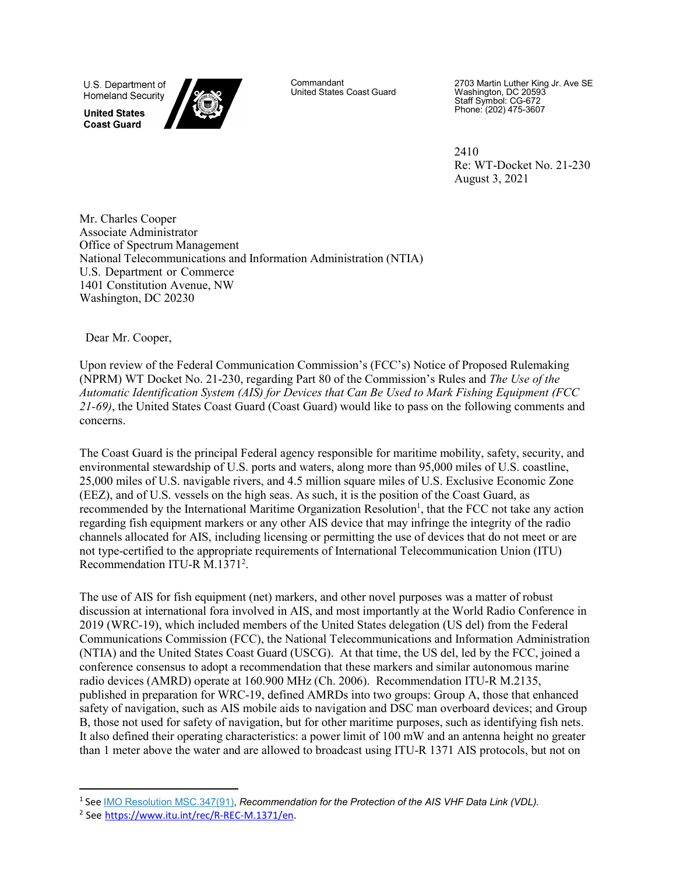U.S. Department of **Homeland Security** 

**United States Coast Guard** 



Commandant United States Coast Guard 2703 Martin Luther King Jr. Ave SE Washington, DC 20593 Staff Symbol: CG-672 Phone: (202) 475-3607

2410 Re: WT-Docket No. 21-230 August 3, 2021

Mr. Charles Cooper Associate Administrator Office of Spectrum Management National Telecommunications and Information Administration (NTIA) U.S. Department or Commerce 1401 Constitution Avenue, NW Washington, DC 20230

Dear Mr. Cooper,

Upon review of the Federal Communication Commission's (FCC's) Notice of Proposed Rulemaking (NPRM) WT Docket No. 21-230, regarding Part 80 of the Commission's Rules and *The Use of the Automatic Identification System (AIS) for Devices that Can Be Used to Mark Fishing Equipment (FCC 21-69)*, the United States Coast Guard (Coast Guard) would like to pass on the following comments and concerns.

The Coast Guard is the principal Federal agency responsible for maritime mobility, safety, security, and environmental stewardship of U.S. ports and waters, along more than 95,000 miles of U.S. coastline, 25,000 miles of U.S. navigable rivers, and 4.5 million square miles of U.S. Exclusive Economic Zone (EEZ), and of U.S. vessels on the high seas. As such, it is the position of the Coast Guard, as recommended by the International Maritime Organization Resolution<sup>1</sup>, that the FCC not take any action regarding fish equipment markers or any other AIS device that may infringe the integrity of the radio channels allocated for AIS, including licensing or permitting the use of devices that do not meet or are not type-certified to the appropriate requirements of International Telecommunication Union (ITU) Recommendation ITU-R M.1371<sup>2</sup>.

The use of AIS for fish equipment (net) markers, and other novel purposes was a matter of robust discussion at international fora involved in AIS, and most importantly at the World Radio Conference in 2019 (WRC-19), which included members of the United States delegation (US del) from the Federal Communications Commission (FCC), the National Telecommunications and Information Administration (NTIA) and the United States Coast Guard (USCG). At that time, the US del, led by the FCC, joined a conference consensus to adopt a recommendation that these markers and similar autonomous marine radio devices (AMRD) operate at 160.900 MHz (Ch. 2006). Recommendation ITU-R M.2135, published in preparation for WRC-19, defined AMRDs into two groups: Group A, those that enhanced safety of navigation, such as AIS mobile aids to navigation and DSC man overboard devices; and Group B, those not used for safety of navigation, but for other maritime purposes, such as identifying fish nets. It also defined their operating characteristics: a power limit of 100 mW and an antenna height no greater than 1 meter above the water and are allowed to broadcast using ITU-R 1371 AIS protocols, but not on

<span id="page-0-0"></span><sup>1</sup> See IMO Resolution [MSC.347\(91\),](https://www.navcen.uscg.gov/pdf/AIS/IMO_MSC91_347_Protection_AIS_VDL.pdf) *Recommendation for the Protection of the AIS VHF Data Link (VDL).*

<span id="page-0-1"></span><sup>2</sup> See [https://www.itu.int/rec/R-REC-M.1371/en.](https://www.itu.int/rec/R-REC-M.1371/en)